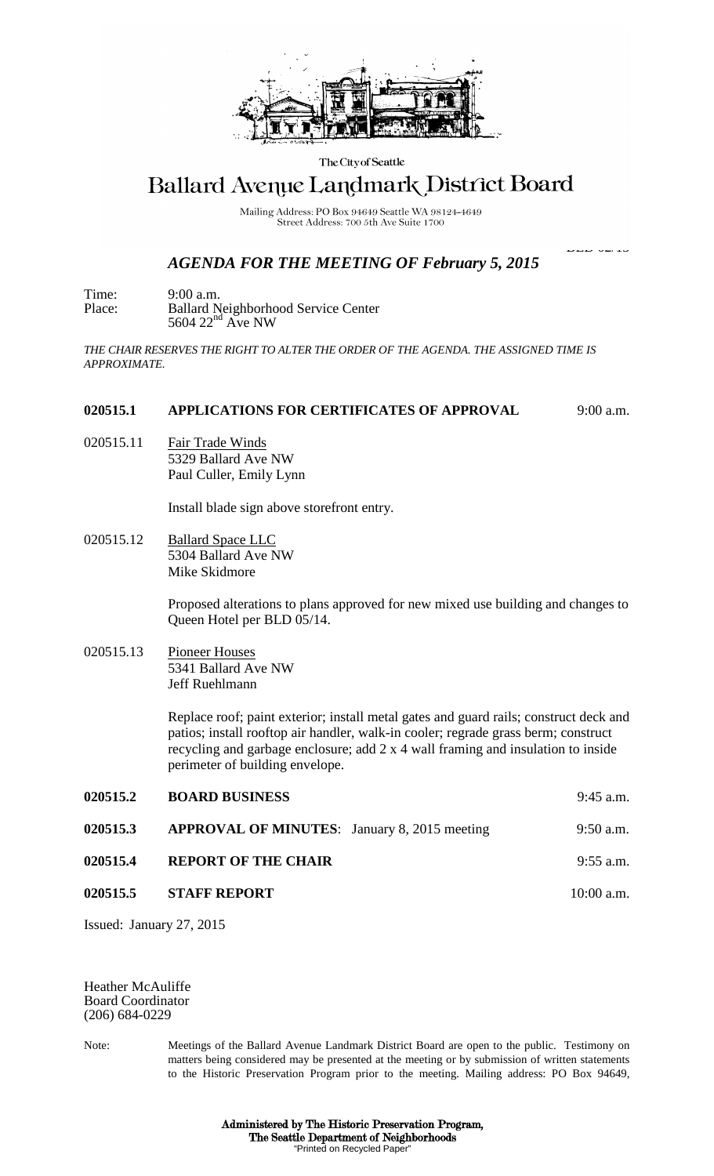

The City of Seattle

## **Ballard Avenue Landmark District Board**

Mailing Address: PO Box 94649 Seattle WA 98124-4649 Street Address: 700 5th Ave Suite 1700

## *AGENDA FOR THE MEETING OF February 5, 2015*

BLD 02/15

Time: 9:00 a.m. Place: Ballard Neighborhood Service Center  $5604$   $22<sup>nd</sup>$  Ave NW

*THE CHAIR RESERVES THE RIGHT TO ALTER THE ORDER OF THE AGENDA. THE ASSIGNED TIME IS APPROXIMATE.*

## **020515.1 APPLICATIONS FOR CERTIFICATES OF APPROVAL** 9:00 a.m.

020515.11 Fair Trade Winds 5329 Ballard Ave NW Paul Culler, Emily Lynn

Install blade sign above storefront entry.

020515.12 Ballard Space LLC 5304 Ballard Ave NW Mike Skidmore

> Proposed alterations to plans approved for new mixed use building and changes to Queen Hotel per BLD 05/14.

020515.13 Pioneer Houses 5341 Ballard Ave NW Jeff Ruehlmann

> Replace roof; paint exterior; install metal gates and guard rails; construct deck and patios; install rooftop air handler, walk-in cooler; regrade grass berm; construct recycling and garbage enclosure; add 2 x 4 wall framing and insulation to inside perimeter of building envelope.

| 020515.2 | <b>BOARD BUSINESS</b>                               | $9:45$ a.m.  |
|----------|-----------------------------------------------------|--------------|
| 020515.3 | <b>APPROVAL OF MINUTES:</b> January 8, 2015 meeting | $9:50$ a.m.  |
| 020515.4 | <b>REPORT OF THE CHAIR</b>                          | $9:55$ a.m.  |
| 020515.5 | <b>STAFF REPORT</b>                                 | $10:00$ a.m. |

Issued: January 27, 2015

Heather McAuliffe Board Coordinator (206) 684-0229

Note: Meetings of the Ballard Avenue Landmark District Board are open to the public. Testimony on matters being considered may be presented at the meeting or by submission of written statements to the Historic Preservation Program prior to the meeting. Mailing address: PO Box 94649,